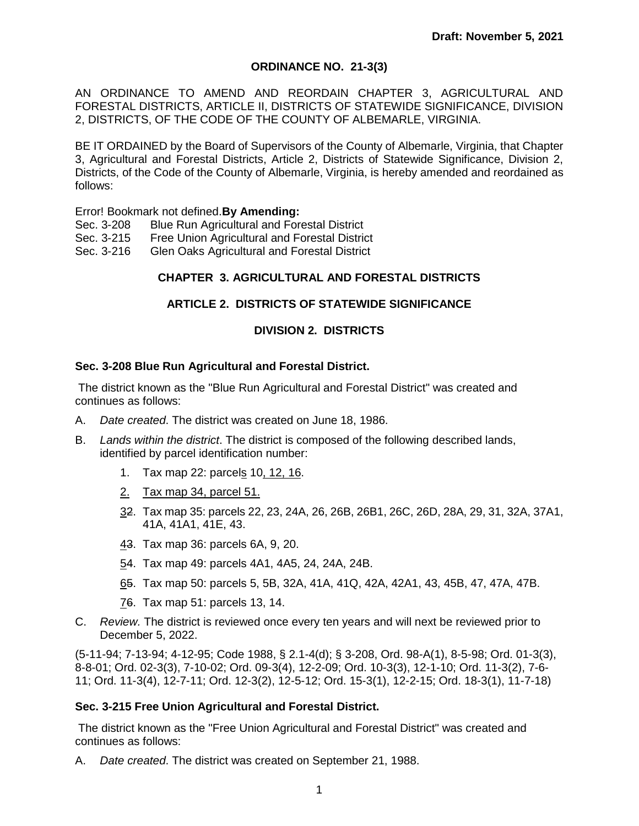# **ORDINANCE NO. 21-3(3)**

AN ORDINANCE TO AMEND AND REORDAIN CHAPTER 3, AGRICULTURAL AND FORESTAL DISTRICTS, ARTICLE II, DISTRICTS OF STATEWIDE SIGNIFICANCE, DIVISION 2, DISTRICTS, OF THE CODE OF THE COUNTY OF ALBEMARLE, VIRGINIA.

BE IT ORDAINED by the Board of Supervisors of the County of Albemarle, Virginia, that Chapter 3, Agricultural and Forestal Districts, Article 2, Districts of Statewide Significance, Division 2, Districts, of the Code of the County of Albemarle, Virginia, is hereby amended and reordained as follows:

Error! Bookmark not defined.**By Amending:**

- Sec. 3-208 Blue Run Agricultural and Forestal District
- Sec. 3-215 Free Union Agricultural and Forestal District
- Sec. 3-216 Glen Oaks Agricultural and Forestal District

## **CHAPTER 3. AGRICULTURAL AND FORESTAL DISTRICTS**

# **ARTICLE 2. DISTRICTS OF STATEWIDE SIGNIFICANCE**

## **DIVISION 2. DISTRICTS**

#### **Sec. 3-208 Blue Run Agricultural and Forestal District.**

The district known as the "Blue Run Agricultural and Forestal District" was created and continues as follows:

- A. *Date created*. The district was created on June 18, 1986.
- B. *Lands within the district*. The district is composed of the following described lands, identified by parcel identification number:
	- 1. Tax map 22: parcels 10, 12, 16.
	- 2. Tax map 34, parcel 51.
	- 32. Tax map 35: parcels 22, 23, 24A, 26, 26B, 26B1, 26C, 26D, 28A, 29, 31, 32A, 37A1, 41A, 41A1, 41E, 43.
	- 43. Tax map 36: parcels 6A, 9, 20.
	- 54. Tax map 49: parcels 4A1, 4A5, 24, 24A, 24B.
	- 65. Tax map 50: parcels 5, 5B, 32A, 41A, 41Q, 42A, 42A1, 43, 45B, 47, 47A, 47B.
	- 76. Tax map 51: parcels 13, 14.
- C. *Review.* The district is reviewed once every ten years and will next be reviewed prior to December 5, 2022.

(5-11-94; 7-13-94; 4-12-95; Code 1988, § 2.1-4(d); § 3-208, Ord. 98-A(1), 8-5-98; Ord. 01-3(3), 8-8-01; Ord. 02-3(3), 7-10-02; Ord. 09-3(4), 12-2-09; Ord. 10-3(3), 12-1-10; Ord. 11-3(2), 7-6- 11; Ord. 11-3(4), 12-7-11; Ord. 12-3(2), 12-5-12; Ord. 15-3(1), 12-2-15; Ord. 18-3(1), 11-7-18)

#### **Sec. 3-215 Free Union Agricultural and Forestal District.**

The district known as the "Free Union Agricultural and Forestal District" was created and continues as follows:

A. *Date created*. The district was created on September 21, 1988.